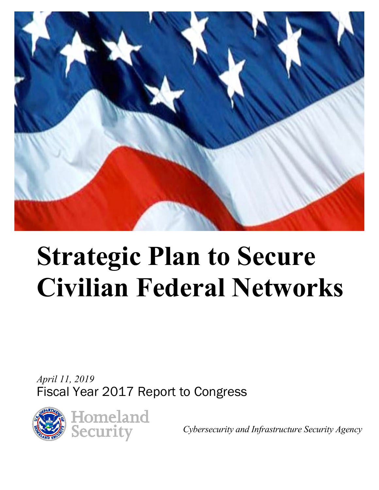

# **Strategic Plan to Secure Civilian Federal Networks**

*April 11, 2019* Fiscal Year 2017 Report to Congress



*Cybersecurity and Infrastructure Security Agency*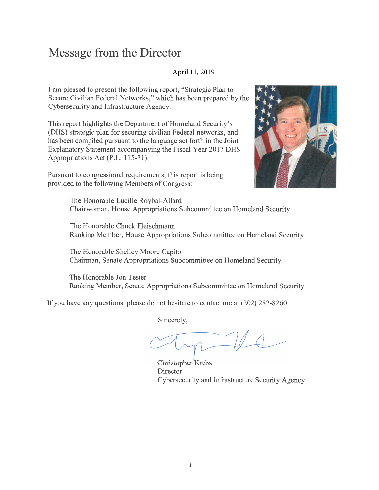# **Message from the Director**

#### April 11, 2019

I am pleased to present the following report, "Strategic Plan to Secure Civilian Federal Networks," which has been prepared by the Cybersecurity and Infrastructure Agency.

This report highlights the Department of Homeland Security's (DHS) strategic plan for securing civilian Federal networks, and has been compiled pursuant to the language set forth in the Joint Explanatory Statement accompanying the Fiscal Year 2017 DHS Appropriations Act (P.L. 115-31).

Pursuant to congressional requirements, this report is being provided to the following Members of Congress:



The Honorable Lucille Roybal-Allard Chairwoman, House Appropriations Subcommittee on Homeland Security

The Honorable Chuck Fleischmann Ranking Member, House Appropriations Subcommittee on Homeland Security

The Honorable Shelley Moore Capito Chairman, Senate Appropriations Subcommittee on Homeland Security

The Honorable Jon Tester Ranking Member, Senate Appropriations Subcommittee on Homeland Security

If you have any questions, please do not hesitate to contact me at (202) 282-8260.

Sincerely,

Christopher Krebs **Director** Cybersecurity and Infrastructure Security Agency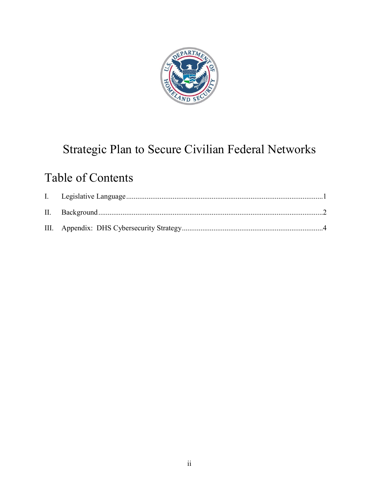

# Strategic Plan to Secure Civilian Federal Networks

# Table of Contents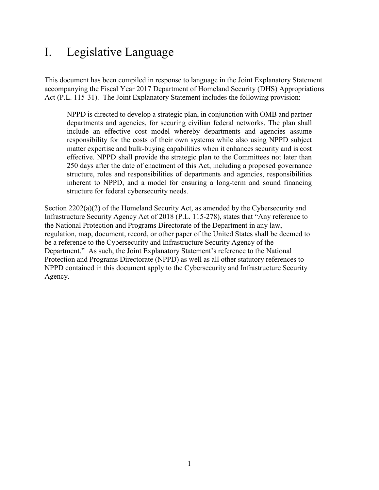# <span id="page-3-0"></span>I. Legislative Language

This document has been compiled in response to language in the Joint Explanatory Statement accompanying the Fiscal Year 2017 Department of Homeland Security (DHS) Appropriations Act (P.L. 115-31). The Joint Explanatory Statement includes the following provision:

NPPD is directed to develop a strategic plan, in conjunction with OMB and partner departments and agencies, for securing civilian federal networks. The plan shall include an effective cost model whereby departments and agencies assume responsibility for the costs of their own systems while also using NPPD subject matter expertise and bulk-buying capabilities when it enhances security and is cost effective. NPPD shall provide the strategic plan to the Committees not later than 250 days after the date of enactment of this Act, including a proposed governance structure, roles and responsibilities of departments and agencies, responsibilities inherent to NPPD, and a model for ensuring a long-term and sound financing structure for federal cybersecurity needs.

Section 2202(a)(2) of the Homeland Security Act, as amended by the Cybersecurity and Infrastructure Security Agency Act of 2018 (P.L. 115-278), states that "Any reference to the National Protection and Programs Directorate of the Department in any law, regulation, map, document, record, or other paper of the United States shall be deemed to be a reference to the Cybersecurity and Infrastructure Security Agency of the Department." As such, the Joint Explanatory Statement's reference to the National Protection and Programs Directorate (NPPD) as well as all other statutory references to NPPD contained in this document apply to the Cybersecurity and Infrastructure Security Agency.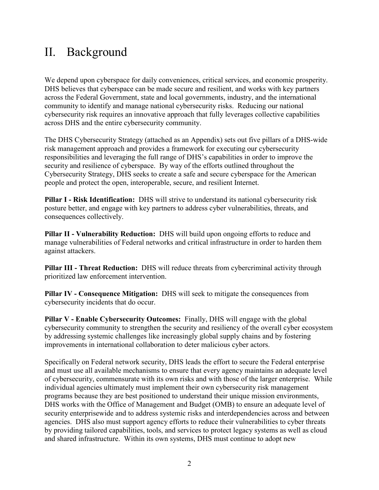# <span id="page-4-0"></span>II. Background

We depend upon cyberspace for daily conveniences, critical services, and economic prosperity. DHS believes that cyberspace can be made secure and resilient, and works with key partners across the Federal Government, state and local governments, industry, and the international community to identify and manage national cybersecurity risks. Reducing our national cybersecurity risk requires an innovative approach that fully leverages collective capabilities across DHS and the entire cybersecurity community.

The DHS Cybersecurity Strategy (attached as an Appendix) sets out five pillars of a DHS-wide risk management approach and provides a framework for executing our cybersecurity responsibilities and leveraging the full range of DHS's capabilities in order to improve the security and resilience of cyberspace. By way of the efforts outlined throughout the Cybersecurity Strategy, DHS seeks to create a safe and secure cyberspace for the American people and protect the open, interoperable, secure, and resilient Internet.

**Pillar I - Risk Identification:** DHS will strive to understand its national cybersecurity risk posture better, and engage with key partners to address cyber vulnerabilities, threats, and consequences collectively.

**Pillar II - Vulnerability Reduction:** DHS will build upon ongoing efforts to reduce and manage vulnerabilities of Federal networks and critical infrastructure in order to harden them against attackers.

**Pillar III - Threat Reduction:** DHS will reduce threats from cybercriminal activity through prioritized law enforcement intervention.

**Pillar IV - Consequence Mitigation:** DHS will seek to mitigate the consequences from cybersecurity incidents that do occur.

**Pillar V - Enable Cybersecurity Outcomes:** Finally, DHS will engage with the global cybersecurity community to strengthen the security and resiliency of the overall cyber ecosystem by addressing systemic challenges like increasingly global supply chains and by fostering improvements in international collaboration to deter malicious cyber actors.

Specifically on Federal network security, DHS leads the effort to secure the Federal enterprise and must use all available mechanisms to ensure that every agency maintains an adequate level of cybersecurity, commensurate with its own risks and with those of the larger enterprise. While individual agencies ultimately must implement their own cybersecurity risk management programs because they are best positioned to understand their unique mission environments, DHS works with the Office of Management and Budget (OMB) to ensure an adequate level of security enterprisewide and to address systemic risks and interdependencies across and between agencies. DHS also must support agency efforts to reduce their vulnerabilities to cyber threats by providing tailored capabilities, tools, and services to protect legacy systems as well as cloud and shared infrastructure. Within its own systems, DHS must continue to adopt new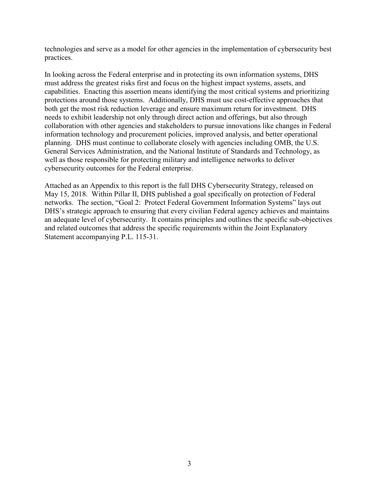technologies and serve as a model for other agencies in the implementation of cybersecurity best practices.

In looking across the Federal enterprise and in protecting its own information systems, DHS must address the greatest risks first and focus on the highest impact systems, assets, and capabilities. Enacting this assertion means identifying the most critical systems and prioritizing protections around those systems. Additionally, DHS must use cost-effective approaches that both get the most risk reduction leverage and ensure maximum return for investment. DHS needs to exhibit leadership not only through direct action and offerings, but also through collaboration with other agencies and stakeholders to pursue innovations like changes in Federal information technology and procurement policies, improved analysis, and better operational planning. DHS must continue to collaborate closely with agencies including OMB, the U.S. General Services Administration, and the National Institute of Standards and Technology, as well as those responsible for protecting military and intelligence networks to deliver cybersecurity outcomes for the Federal enterprise.

Attached as an Appendix to this report is the full DHS Cybersecurity Strategy, released on May 15, 2018. Within Pillar II, DHS published a goal specifically on protection of Federal networks. The section, "Goal 2: Protect Federal Government Information Systems" lays out DHS's strategic approach to ensuring that every civilian Federal agency achieves and maintains an adequate level of cybersecurity. It contains principles and outlines the specific sub-objectives and related outcomes that address the specific requirements within the Joint Explanatory Statement accompanying P.L. 115-31.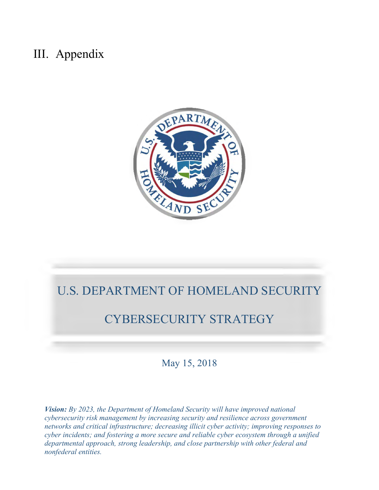# III. Appendix



# U.S. DEPARTMENT OF HOMELAND SECURITY

# CYBERSECURITY STRATEGY

May 15, 2018

 *cyber incidents; and fostering a more secure and reliable cyber ecosystem through a unified Vision: By 2023, the Department of Homeland Security will have improved national cybersecurity risk management by increasing security and resilience across government networks and critical infrastructure; decreasing illicit cyber activity; improving responses to departmental approach, strong leadership, and close partnership with other federal and nonfederal entities.*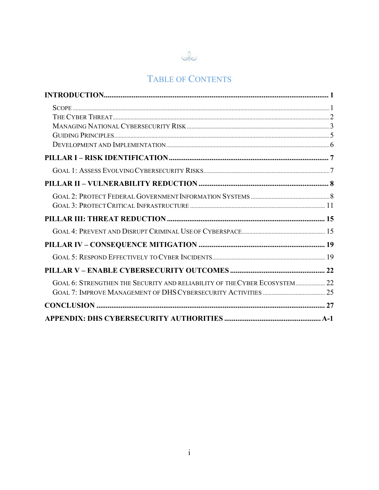

## TABLE OF CONTENTS

| GOAL 6: STRENGTHEN THE SECURITY AND RELIABILITY OF THE CYBER ECOSYSTEM 22 |  |
|---------------------------------------------------------------------------|--|
|                                                                           |  |
|                                                                           |  |
|                                                                           |  |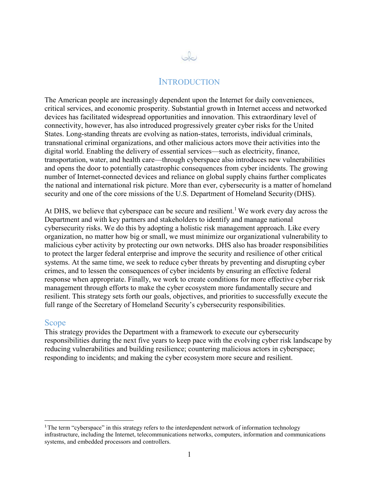

#### **INTRODUCTION**

The American people are increasingly dependent upon the Internet for daily conveniences, critical services, and economic prosperity. Substantial growth in Internet access and networked devices has facilitated widespread opportunities and innovation. This extraordinary level of connectivity, however, has also introduced progressively greater cyber risks for the United States. Long-standing threats are evolving as nation-states, terrorists, individual criminals, transnational criminal organizations, and other malicious actors move their activities into the digital world. Enabling the delivery of essential services—such as electricity, finance, transportation, water, and health care—through cyberspace also introduces new vulnerabilities and opens the door to potentially catastrophic consequences from cyber incidents. The growing number of Internet-connected devices and reliance on global supply chains further complicates the national and international risk picture. More than ever, cybersecurity is a matter of homeland security and one of the core missions of the U.S. Department of Homeland Security (DHS).

At DHS, we believe that cyberspace can be secure and resilient.<sup>1</sup> We work every day across the Department and with key partners and stakeholders to identify and manage national cybersecurity risks. We do this by adopting a holistic risk management approach. Like every organization, no matter how big or small, we must minimize our organizational vulnerability to malicious cyber activity by protecting our own networks. DHS also has broader responsibilities to protect the larger federal enterprise and improve the security and resilience of other critical systems. At the same time, we seek to reduce cyber threats by preventing and disrupting cyber crimes, and to lessen the consequences of cyber incidents by ensuring an effective federal response when appropriate. Finally, we work to create conditions for more effective cyber risk management through efforts to make the cyber ecosystem more fundamentally secure and resilient. This strategy sets forth our goals, objectives, and priorities to successfully execute the full range of the Secretary of Homeland Security's cybersecurity responsibilities.

#### Scope

This strategy provides the Department with a framework to execute our cybersecurity responsibilities during the next five years to keep pace with the evolving cyber risk landscape by reducing vulnerabilities and building resilience; countering malicious actors in cyberspace; responding to incidents; and making the cyber ecosystem more secure and resilient.

<sup>&</sup>lt;sup>1</sup>The term "cyberspace" in this strategy refers to the interdependent network of information technology infrastructure, including the Internet, telecommunications networks, computers, information and communications systems, and embedded processors and controllers.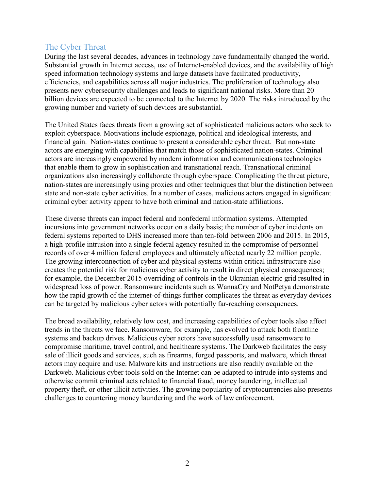#### The Cyber Threat

During the last several decades, advances in technology have fundamentally changed the world. Substantial growth in Internet access, use of Internet-enabled devices, and the availability of high speed information technology systems and large datasets have facilitated productivity, efficiencies, and capabilities across all major industries. The proliferation of technology also presents new cybersecurity challenges and leads to significant national risks. More than 20 billion devices are expected to be connected to the Internet by 2020. The risks introduced by the growing number and variety of such devices are substantial.

The United States faces threats from a growing set of sophisticated malicious actors who seek to exploit cyberspace. Motivations include espionage, political and ideological interests, and financial gain. Nation-states continue to present a considerable cyber threat. But non-state actors are emerging with capabilities that match those of sophisticated nation-states. Criminal actors are increasingly empowered by modern information and communications technologies that enable them to grow in sophistication and transnational reach. Transnational criminal organizations also increasingly collaborate through cyberspace. Complicating the threat picture, nation-states are increasingly using proxies and other techniques that blur the distinction between state and non-state cyber activities. In a number of cases, malicious actors engaged in significant criminal cyber activity appear to have both criminal and nation-state affiliations.

These diverse threats can impact federal and nonfederal information systems. Attempted incursions into government networks occur on a daily basis; the number of cyber incidents on federal systems reported to DHS increased more than ten-fold between 2006 and 2015. In 2015, a high-profile intrusion into a single federal agency resulted in the compromise of personnel records of over 4 million federal employees and ultimately affected nearly 22 million people. The growing interconnection of cyber and physical systems within critical infrastructure also creates the potential risk for malicious cyber activity to result in direct physical consequences; for example, the December 2015 overriding of controls in the Ukrainian electric grid resulted in widespread loss of power. Ransomware incidents such as WannaCry and NotPetya demonstrate how the rapid growth of the internet-of-things further complicates the threat as everyday devices can be targeted by malicious cyber actors with potentially far-reaching consequences.

The broad availability, relatively low cost, and increasing capabilities of cyber tools also affect trends in the threats we face. Ransomware, for example, has evolved to attack both frontline systems and backup drives. Malicious cyber actors have successfully used ransomware to compromise maritime, travel control, and healthcare systems. The Darkweb facilitates the easy sale of illicit goods and services, such as firearms, forged passports, and malware, which threat actors may acquire and use. Malware kits and instructions are also readily available on the Darkweb. Malicious cyber tools sold on the Internet can be adapted to intrude into systems and otherwise commit criminal acts related to financial fraud, money laundering, intellectual property theft, or other illicit activities. The growing popularity of cryptocurrencies also presents challenges to countering money laundering and the work of law enforcement.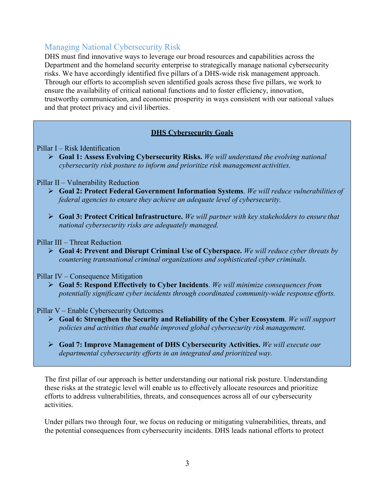### Managing National Cybersecurity Risk

DHS must find innovative ways to leverage our broad resources and capabilities across the Department and the homeland security enterprise to strategically manage national cybersecurity risks. We have accordingly identified five pillars of a DHS-wide risk management approach. Through our efforts to accomplish seven identified goals across these five pillars, we work to ensure the availability of critical national functions and to foster efficiency, innovation, trustworthy communication, and economic prosperity in ways consistent with our national values and that protect privacy and civil liberties.

#### **DHS Cybersecurity Goals**

#### Pillar I – Risk Identification

 **Goal 1: Assess Evolving Cybersecurity Risks.** *We will understand the evolving national cybersecurity risk posture to inform and prioritize risk management activities.*

#### Pillar II – Vulnerability Reduction

- **Goal 2: Protect Federal Government Information Systems**. *We will reduce vulnerabilities of federal agencies to ensure they achieve an adequate level of cybersecurity.*
- **Goal 3: Protect Critical Infrastructure.** *We will partner with key stakeholders to ensure that national cybersecurity risks are adequately managed.*

#### Pillar III – Threat Reduction

 **Goal 4: Prevent and Disrupt Criminal Use of Cyberspace.** *We will reduce cyber threats by countering transnational criminal organizations and sophisticated cyber criminals.*

#### Pillar IV – Consequence Mitigation

 **Goal 5: Respond Effectively to Cyber Incidents**. *We will minimize consequences from potentially significant cyber incidents through coordinated community-wide response efforts.*

#### Pillar V – Enable Cybersecurity Outcomes

- **Goal 6: Strengthen the Security and Reliability of the Cyber Ecosystem**. *We will support policies and activities that enable improved global cybersecurity risk management.*
- **Goal 7: Improve Management of DHS Cybersecurity Activities.** *We will execute our departmental cybersecurity efforts in an integrated and prioritized way.*

The first pillar of our approach is better understanding our national risk posture. Understanding these risks at the strategic level will enable us to effectively allocate resources and prioritize efforts to address vulnerabilities, threats, and consequences across all of our cybersecurity activities.

Under pillars two through four, we focus on reducing or mitigating vulnerabilities, threats, and the potential consequences from cybersecurity incidents. DHS leads national efforts to protect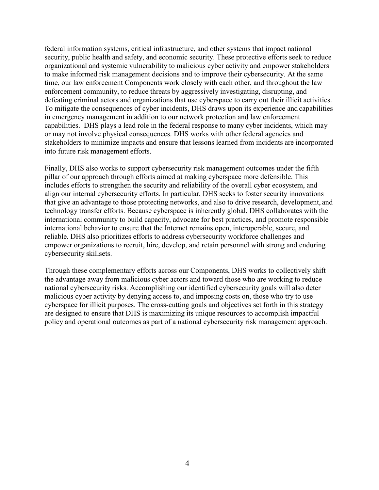federal information systems, critical infrastructure, and other systems that impact national security, public health and safety, and economic security. These protective efforts seek to reduce organizational and systemic vulnerability to malicious cyber activity and empower stakeholders to make informed risk management decisions and to improve their cybersecurity. At the same time, our law enforcement Components work closely with each other, and throughout the law enforcement community, to reduce threats by aggressively investigating, disrupting, and defeating criminal actors and organizations that use cyberspace to carry out their illicit activities. To mitigate the consequences of cyber incidents, DHS draws upon its experience and capabilities in emergency management in addition to our network protection and law enforcement capabilities. DHS plays a lead role in the federal response to many cyber incidents, which may or may not involve physical consequences. DHS works with other federal agencies and stakeholders to minimize impacts and ensure that lessons learned from incidents are incorporated into future risk management efforts.

Finally, DHS also works to support cybersecurity risk management outcomes under the fifth pillar of our approach through efforts aimed at making cyberspace more defensible. This includes efforts to strengthen the security and reliability of the overall cyber ecosystem, and align our internal cybersecurity efforts. In particular, DHS seeks to foster security innovations that give an advantage to those protecting networks, and also to drive research, development, and technology transfer efforts. Because cyberspace is inherently global, DHS collaborates with the international community to build capacity, advocate for best practices, and promote responsible international behavior to ensure that the Internet remains open, interoperable, secure, and reliable. DHS also prioritizes efforts to address cybersecurity workforce challenges and empower organizations to recruit, hire, develop, and retain personnel with strong and enduring cybersecurity skillsets.

Through these complementary efforts across our Components, DHS works to collectively shift the advantage away from malicious cyber actors and toward those who are working to reduce national cybersecurity risks. Accomplishing our identified cybersecurity goals will also deter malicious cyber activity by denying access to, and imposing costs on, those who try to use cyberspace for illicit purposes. The cross-cutting goals and objectives set forth in this strategy are designed to ensure that DHS is maximizing its unique resources to accomplish impactful policy and operational outcomes as part of a national cybersecurity risk management approach.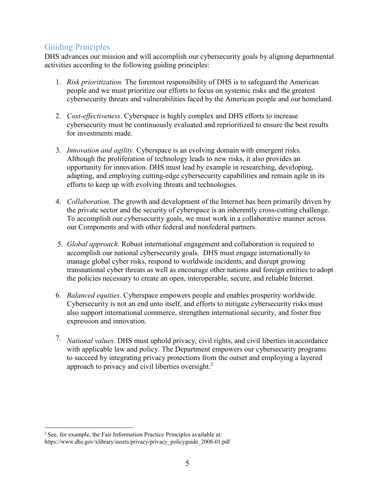### Guiding Principles

DHS advances our mission and will accomplish our cybersecurity goals by aligning departmental activities according to the following guiding principles:

- 1. *Risk prioritization.* The foremost responsibility of DHS is to safeguard the American people and we must prioritize our efforts to focus on systemic risks and the greatest cybersecurity threats and vulnerabilities faced by the American people and our homeland.
- 2. *Cost-effectiveness*. Cyberspace is highly complex and DHS efforts to increase cybersecurity must be continuously evaluated and reprioritized to ensure the best results for investments made.
- 3. *Innovation and agility.* Cyberspace is an evolving domain with emergent risks. Although the proliferation of technology leads to new risks, it also provides an opportunity for innovation. DHS must lead by example in researching, developing, adapting, and employing cutting-edge cybersecurity capabilities and remain agile in its efforts to keep up with evolving threats and technologies.
- 4. *Collaboration.* The growth and development of the Internet has been primarily driven by the private sector and the security of cyberspace is an inherently cross-cutting challenge. To accomplish our cybersecurity goals, we must work in a collaborative manner across our Components and with other federal and nonfederal partners.
- 5. *Global approach.* Robust international engagement and collaboration is required to accomplish our national cybersecurity goals. DHS must engage internationally to manage global cyber risks, respond to worldwide incidents, and disrupt growing transnational cyber threats as well as encourage other nations and foreign entities to adopt the policies necessary to create an open, interoperable, secure, and reliable Internet.
- 6. *Balanced equities.* Cyberspace empowers people and enables prosperity worldwide. Cybersecurity is not an end unto itself, and efforts to mitigate cybersecurity risks must also support international commerce, strengthen international security, and foster free expression and innovation.
- 7. *National values.* DHS must uphold privacy, civil rights, and civil liberties in accordance with applicable law and policy. The Department empowers our cybersecurity programs to succeed by integrating privacy protections from the outset and employing a layered approach to privacy and civil liberties oversight.<sup>2</sup>

<sup>&</sup>lt;sup>2</sup> See, for example, the Fair Information Practice Principles available at: https:/[/www.dhs.gov/xlibrary/assets/privacy/privacy\\_policyguide\\_2008-01.pdf](http://www.dhs.gov/xlibrary/assets/privacy/privacy_policyguide_2008-01.pdf)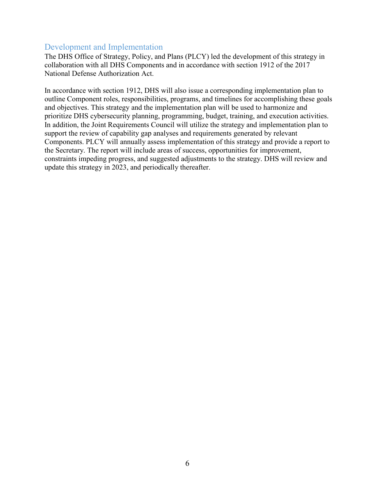#### Development and Implementation

The DHS Office of Strategy, Policy, and Plans (PLCY) led the development of this strategy in collaboration with all DHS Components and in accordance with section 1912 of the 2017 National Defense Authorization Act.

In accordance with section 1912, DHS will also issue a corresponding implementation plan to outline Component roles, responsibilities, programs, and timelines for accomplishing these goals and objectives. This strategy and the implementation plan will be used to harmonize and prioritize DHS cybersecurity planning, programming, budget, training, and execution activities. In addition, the Joint Requirements Council will utilize the strategy and implementation plan to support the review of capability gap analyses and requirements generated by relevant Components. PLCY will annually assess implementation of this strategy and provide a report to the Secretary. The report will include areas of success, opportunities for improvement, constraints impeding progress, and suggested adjustments to the strategy. DHS will review and update this strategy in 2023, and periodically thereafter.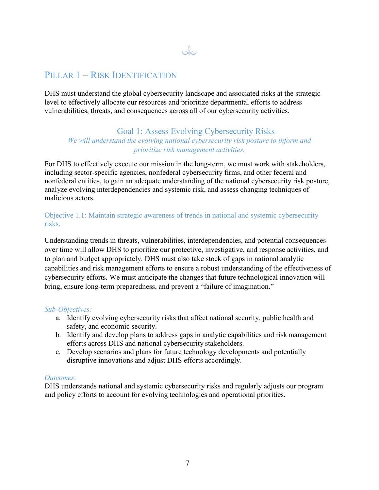### بك

### PILLAR 1 – RISK IDENTIFICATION

DHS must understand the global cybersecurity landscape and associated risks at the strategic level to effectively allocate our resources and prioritize departmental efforts to address vulnerabilities, threats, and consequences across all of our cybersecurity activities.

#### Goal 1: Assess Evolving Cybersecurity Risks *We will understand the evolving national cybersecurity risk posture to inform and prioritize risk management activities.*

For DHS to effectively execute our mission in the long-term, we must work with stakeholders, including sector-specific agencies, nonfederal cybersecurity firms, and other federal and nonfederal entities, to gain an adequate understanding of the national cybersecurity risk posture, analyze evolving interdependencies and systemic risk, and assess changing techniques of malicious actors.

Objective 1.1: Maintain strategic awareness of trends in national and systemic cybersecurity risks.

Understanding trends in threats, vulnerabilities, interdependencies, and potential consequences over time will allow DHS to prioritize our protective, investigative, and response activities, and to plan and budget appropriately. DHS must also take stock of gaps in national analytic capabilities and risk management efforts to ensure a robust understanding of the effectiveness of cybersecurity efforts. We must anticipate the changes that future technological innovation will bring, ensure long-term preparedness, and prevent a "failure of imagination."

#### *Sub-Objectives:*

- a. Identify evolving cybersecurity risks that affect national security, public health and safety, and economic security.
- b. Identify and develop plans to address gaps in analytic capabilities and risk management efforts across DHS and national cybersecurity stakeholders.
- c. Develop scenarios and plans for future technology developments and potentially disruptive innovations and adjust DHS efforts accordingly.

#### *Outcomes:*

DHS understands national and systemic cybersecurity risks and regularly adjusts our program and policy efforts to account for evolving technologies and operational priorities.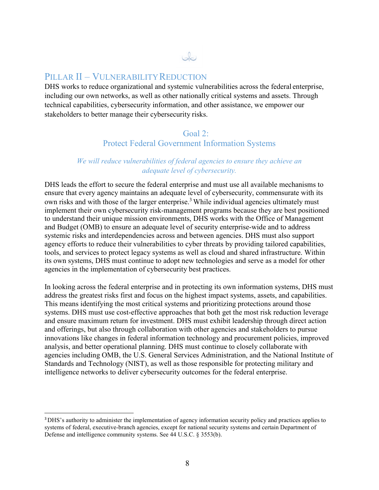### PILLAR II – VULNERABILITY REDUCTION

DHS works to reduce organizational and systemic vulnerabilities across the federal enterprise, including our own networks, as well as other nationally critical systems and assets. Through technical capabilities, cybersecurity information, and other assistance, we empower our stakeholders to better manage their cybersecurity risks.

 $\omega$ 

#### Goal 2: Protect Federal Government Information Systems

#### *We will reduce vulnerabilities of federal agencies to ensure they achieve an adequate level of cybersecurity.*

DHS leads the effort to secure the federal enterprise and must use all available mechanisms to ensure that every agency maintains an adequate level of cybersecurity, commensurate with its own risks and with those of the larger enterprise.<sup>3</sup> While individual agencies ultimately must implement their own cybersecurity risk-management programs because they are best positioned to understand their unique mission environments, DHS works with the Office of Management and Budget (OMB) to ensure an adequate level of security enterprise-wide and to address systemic risks and interdependencies across and between agencies. DHS must also support agency efforts to reduce their vulnerabilities to cyber threats by providing tailored capabilities, tools, and services to protect legacy systems as well as cloud and shared infrastructure. Within its own systems, DHS must continue to adopt new technologies and serve as a model for other agencies in the implementation of cybersecurity best practices.

In looking across the federal enterprise and in protecting its own information systems, DHS must address the greatest risks first and focus on the highest impact systems, assets, and capabilities. This means identifying the most critical systems and prioritizing protections around those systems. DHS must use cost-effective approaches that both get the most risk reduction leverage and ensure maximum return for investment. DHS must exhibit leadership through direct action and offerings, but also through collaboration with other agencies and stakeholders to pursue innovations like changes in federal information technology and procurement policies, improved analysis, and better operational planning. DHS must continue to closely collaborate with agencies including OMB, the U.S. General Services Administration, and the National Institute of Standards and Technology (NIST), as well as those responsible for protecting military and intelligence networks to deliver cybersecurity outcomes for the federal enterprise.

<sup>3</sup>DHS's authority to administer the implementation of agency information security policy and practices applies to systems of federal, executive-branch agencies, except for national security systems and certain Department of Defense and intelligence community systems. See 44 U.S.C. § 3553(b).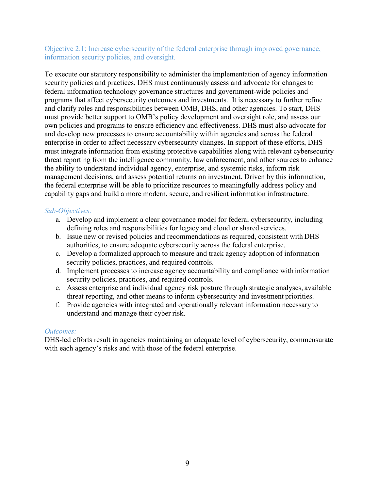#### Objective 2.1: Increase cybersecurity of the federal enterprise through improved governance, information security policies, and oversight.

To execute our statutory responsibility to administer the implementation of agency information security policies and practices, DHS must continuously assess and advocate for changes to federal information technology governance structures and government-wide policies and programs that affect cybersecurity outcomes and investments. It is necessary to further refine and clarify roles and responsibilities between OMB, DHS, and other agencies. To start, DHS must provide better support to OMB's policy development and oversight role, and assess our own policies and programs to ensure efficiency and effectiveness. DHS must also advocate for and develop new processes to ensure accountability within agencies and across the federal enterprise in order to affect necessary cybersecurity changes. In support of these efforts, DHS must integrate information from existing protective capabilities along with relevant cybersecurity threat reporting from the intelligence community, law enforcement, and other sources to enhance the ability to understand individual agency, enterprise, and systemic risks, inform risk management decisions, and assess potential returns on investment. Driven by this information, the federal enterprise will be able to prioritize resources to meaningfully address policy and capability gaps and build a more modern, secure, and resilient information infrastructure.

#### *Sub-Objectives:*

- a. Develop and implement a clear governance model for federal cybersecurity, including defining roles and responsibilities for legacy and cloud or shared services.
- b. Issue new or revised policies and recommendations as required, consistent with DHS authorities, to ensure adequate cybersecurity across the federal enterprise.
- c. Develop a formalized approach to measure and track agency adoption of information security policies, practices, and required controls.
- d. Implement processes to increase agency accountability and compliance with information security policies, practices, and required controls.
- e. Assess enterprise and individual agency risk posture through strategic analyses, available threat reporting, and other means to inform cybersecurity and investment priorities.
- f. Provide agencies with integrated and operationally relevant information necessary to understand and manage their cyber risk.

#### *Outcomes:*

DHS-led efforts result in agencies maintaining an adequate level of cybersecurity, commensurate with each agency's risks and with those of the federal enterprise.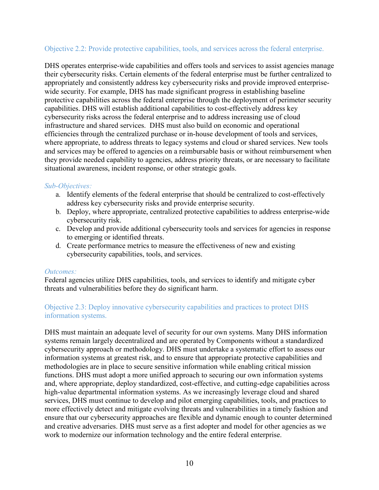#### Objective 2.2: Provide protective capabilities, tools, and services across the federal enterprise.

DHS operates enterprise-wide capabilities and offers tools and services to assist agencies manage their cybersecurity risks. Certain elements of the federal enterprise must be further centralized to appropriately and consistently address key cybersecurity risks and provide improved enterprisewide security. For example, DHS has made significant progress in establishing baseline protective capabilities across the federal enterprise through the deployment of perimeter security capabilities. DHS will establish additional capabilities to cost-effectively address key cybersecurity risks across the federal enterprise and to address increasing use of cloud infrastructure and shared services. DHS must also build on economic and operational efficiencies through the centralized purchase or in-house development of tools and services, where appropriate, to address threats to legacy systems and cloud or shared services. New tools and services may be offered to agencies on a reimbursable basis or without reimbursement when they provide needed capability to agencies, address priority threats, or are necessary to facilitate situational awareness, incident response, or other strategic goals.

#### *Sub-Objectives:*

- a. Identify elements of the federal enterprise that should be centralized to cost-effectively address key cybersecurity risks and provide enterprise security.
- b. Deploy, where appropriate, centralized protective capabilities to address enterprise-wide cybersecurity risk.
- c. Develop and provide additional cybersecurity tools and services for agencies in response to emerging or identified threats.
- d. Create performance metrics to measure the effectiveness of new and existing cybersecurity capabilities, tools, and services.

#### *Outcomes:*

Federal agencies utilize DHS capabilities, tools, and services to identify and mitigate cyber threats and vulnerabilities before they do significant harm.

#### Objective 2.3: Deploy innovative cybersecurity capabilities and practices to protect DHS information systems.

DHS must maintain an adequate level of security for our own systems. Many DHS information systems remain largely decentralized and are operated by Components without a standardized cybersecurity approach or methodology. DHS must undertake a systematic effort to assess our information systems at greatest risk, and to ensure that appropriate protective capabilities and methodologies are in place to secure sensitive information while enabling critical mission functions. DHS must adopt a more unified approach to securing our own information systems and, where appropriate, deploy standardized, cost-effective, and cutting-edge capabilities across high-value departmental information systems. As we increasingly leverage cloud and shared services, DHS must continue to develop and pilot emerging capabilities, tools, and practices to more effectively detect and mitigate evolving threats and vulnerabilities in a timely fashion and ensure that our cybersecurity approaches are flexible and dynamic enough to counter determined and creative adversaries. DHS must serve as a first adopter and model for other agencies as we work to modernize our information technology and the entire federal enterprise.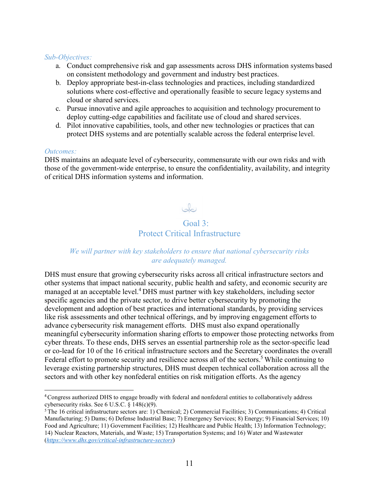#### *Sub-Objectives:*

- a. Conduct comprehensive risk and gap assessments across DHS information systems based on consistent methodology and government and industry best practices.
- b. Deploy appropriate best-in-class technologies and practices, including standardized solutions where cost-effective and operationally feasible to secure legacy systems and cloud or shared services.
- c. Pursue innovative and agile approaches to acquisition and technology procurement to deploy cutting-edge capabilities and facilitate use of cloud and shared services.
- d. Pilot innovative capabilities, tools, and other new technologies or practices that can protect DHS systems and are potentially scalable across the federal enterprise level.

#### *Outcomes:*

DHS maintains an adequate level of cybersecurity, commensurate with our own risks and with those of the government-wide enterprise, to ensure the confidentiality, availability, and integrity of critical DHS information systems and information.

### Jo  $Gaal 3$ Protect Critical Infrastructure

#### *We will partner with key stakeholders to ensure that national cybersecurity risks are adequately managed.*

DHS must ensure that growing cybersecurity risks across all critical infrastructure sectors and other systems that impact national security, public health and safety, and economic security are managed at an acceptable level.<sup>4</sup> DHS must partner with key stakeholders, including sector specific agencies and the private sector, to drive better cybersecurity by promoting the development and adoption of best practices and international standards, by providing services like risk assessments and other technical offerings, and by improving engagement efforts to advance cybersecurity risk management efforts. DHS must also expand operationally meaningful cybersecurity information sharing efforts to empower those protecting networks from cyber threats. To these ends, DHS serves an essential partnership role as the sector-specific lead or co-lead for 10 of the 16 critical infrastructure sectors and the Secretary coordinates the overall Federal effort to promote security and resilience across all of the sectors.<sup>5</sup> While continuing to leverage existing partnership structures, DHS must deepen technical collaboration across all the sectors and with other key nonfederal entities on risk mitigation efforts. As the agency

<sup>4</sup>Congress authorized DHS to engage broadly with federal and nonfederal entities to collaboratively address cybersecurity risks. See 6 U.S.C. § 148(c)(9).

<sup>5</sup> The 16 critical infrastructure sectors are: 1) Chemical; 2) Commercial Facilities; 3) Communications; 4) Critical Manufacturing; 5) Dams; 6) Defense Industrial Base; 7) Emergency Services; 8) Energy; 9) Financial Services; 10) Food and Agriculture; 11) Government Facilities; 12) Healthcare and Public Health; 13) Information Technology; 14) Nuclear Reactors, Materials, and Waste; 15) Transportation Systems; and 16) Water and Wastewater (*<https://www.dhs.gov/critical-infrastructure-sectors>*)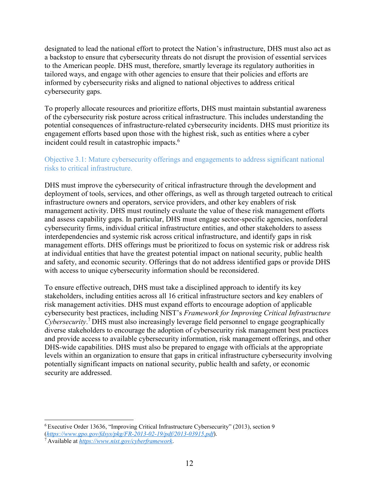designated to lead the national effort to protect the Nation's infrastructure, DHS must also act as a backstop to ensure that cybersecurity threats do not disrupt the provision of essential services to the American people. DHS must, therefore, smartly leverage its regulatory authorities in tailored ways, and engage with other agencies to ensure that their policies and efforts are informed by cybersecurity risks and aligned to national objectives to address critical cybersecurity gaps.

To properly allocate resources and prioritize efforts, DHS must maintain substantial awareness of the cybersecurity risk posture across critical infrastructure. This includes understanding the potential consequences of infrastructure-related cybersecurity incidents. DHS must prioritize its engagement efforts based upon those with the highest risk, such as entities where a cyber incident could result in catastrophic impacts.<sup>6</sup>

#### Objective 3.1: Mature cybersecurity offerings and engagements to address significant national risks to critical infrastructure.

DHS must improve the cybersecurity of critical infrastructure through the development and deployment of tools, services, and other offerings, as well as through targeted outreach to critical infrastructure owners and operators, service providers, and other key enablers of risk management activity. DHS must routinely evaluate the value of these risk management efforts and assess capability gaps. In particular, DHS must engage sector-specific agencies, nonfederal cybersecurity firms, individual critical infrastructure entities, and other stakeholders to assess interdependencies and systemic risk across critical infrastructure, and identify gaps in risk management efforts. DHS offerings must be prioritized to focus on systemic risk or address risk at individual entities that have the greatest potential impact on national security, public health and safety, and economic security. Offerings that do not address identified gaps or provide DHS with access to unique cybersecurity information should be reconsidered.

To ensure effective outreach, DHS must take a disciplined approach to identify its key stakeholders, including entities across all 16 critical infrastructure sectors and key enablers of risk management activities. DHS must expand efforts to encourage adoption of applicable cybersecurity best practices, including NIST's *Framework for Improving Critical Infrastructure Cybersecurity*. <sup>7</sup> DHS must also increasingly leverage field personnel to engage geographically diverse stakeholders to encourage the adoption of cybersecurity risk management best practices and provide access to available cybersecurity information, risk management offerings, and other DHS-wide capabilities. DHS must also be prepared to engage with officials at the appropriate levels within an organization to ensure that gaps in critical infrastructure cybersecurity involving potentially significant impacts on national security, public health and safety, or economic security are addressed.

<sup>6</sup> Executive Order 13636, "Improving Critical Infrastructure Cybersecurity" (2013), section 9 (*<https://www.gpo.gov/fdsys/pkg/FR-2013-02-19/pdf/2013-03915.pdf>*).

<sup>7</sup> Available at *<https://www.nist.gov/cyberframework>*.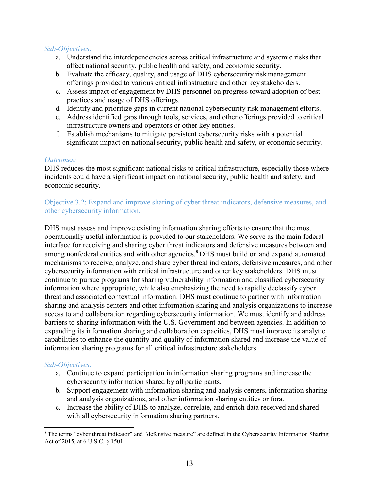#### *Sub-Objectives:*

- a. Understand the interdependencies across critical infrastructure and systemic risksthat affect national security, public health and safety, and economic security.
- b. Evaluate the efficacy, quality, and usage of DHS cybersecurity risk management offerings provided to various critical infrastructure and other key stakeholders.
- c. Assess impact of engagement by DHS personnel on progress toward adoption of best practices and usage of DHS offerings.
- d. Identify and prioritize gaps in current national cybersecurity risk management efforts.
- e. Address identified gaps through tools, services, and other offerings provided to critical infrastructure owners and operators or other key entities.
- f. Establish mechanisms to mitigate persistent cybersecurity risks with a potential significant impact on national security, public health and safety, or economic security.

#### *Outcomes:*

DHS reduces the most significant national risks to critical infrastructure, especially those where incidents could have a significant impact on national security, public health and safety, and economic security.

#### Objective 3.2: Expand and improve sharing of cyber threat indicators, defensive measures, and other cybersecurity information.

DHS must assess and improve existing information sharing efforts to ensure that the most operationally useful information is provided to our stakeholders. We serve as the main federal interface for receiving and sharing cyber threat indicators and defensive measures between and among nonfederal entities and with other agencies.<sup>8</sup> DHS must build on and expand automated mechanisms to receive, analyze, and share cyber threat indicators, defensive measures, and other cybersecurity information with critical infrastructure and other key stakeholders. DHS must continue to pursue programs for sharing vulnerability information and classified cybersecurity information where appropriate, while also emphasizing the need to rapidly declassify cyber threat and associated contextual information. DHS must continue to partner with information sharing and analysis centers and other information sharing and analysis organizations to increase access to and collaboration regarding cybersecurity information. We must identify and address barriers to sharing information with the U.S. Government and between agencies. In addition to expanding its information sharing and collaboration capacities, DHS must improve its analytic capabilities to enhance the quantity and quality of information shared and increase the value of information sharing programs for all critical infrastructure stakeholders.

#### *Sub-Objectives:*

- a. Continue to expand participation in information sharing programs and increase the cybersecurity information shared by all participants.
- b. Support engagement with information sharing and analysis centers, information sharing and analysis organizations, and other information sharing entities or fora.
- c. Increase the ability of DHS to analyze, correlate, and enrich data received and shared with all cybersecurity information sharing partners.

<sup>&</sup>lt;sup>8</sup> The terms "cyber threat indicator" and "defensive measure" are defined in the Cybersecurity Information Sharing Act of 2015, at 6 U.S.C. § 1501.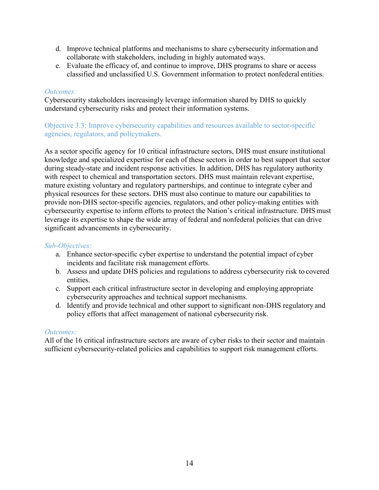- d. Improve technical platforms and mechanisms to share cybersecurity information and collaborate with stakeholders, including in highly automated ways.
- e. Evaluate the efficacy of, and continue to improve, DHS programs to share or access classified and unclassified U.S. Government information to protect nonfederal entities.

#### *Outcomes:*

Cybersecurity stakeholders increasingly leverage information shared by DHS to quickly understand cybersecurity risks and protect their information systems.

#### Objective 3.3: Improve cybersecurity capabilities and resources available to sector-specific agencies, regulators, and policymakers.

As a sector specific agency for 10 critical infrastructure sectors, DHS must ensure institutional knowledge and specialized expertise for each of these sectors in order to best support that sector during steady-state and incident response activities. In addition, DHS has regulatory authority with respect to chemical and transportation sectors. DHS must maintain relevant expertise, mature existing voluntary and regulatory partnerships, and continue to integrate cyber and physical resources for these sectors. DHS must also continue to mature our capabilities to provide non-DHS sector-specific agencies, regulators, and other policy-making entities with cybersecurity expertise to inform efforts to protect the Nation's critical infrastructure. DHSmust leverage its expertise to shape the wide array of federal and nonfederal policies that can drive significant advancements in cybersecurity.

#### *Sub-Objectives:*

- a. Enhance sector-specific cyber expertise to understand the potential impact of cyber incidents and facilitate risk management efforts.
- b. Assess and update DHS policies and regulations to address cybersecurity risk to covered entities.
- c. Support each critical infrastructure sector in developing and employing appropriate cybersecurity approaches and technical support mechanisms.
- d. Identify and provide technical and other support to significant non-DHS regulatory and policy efforts that affect management of national cybersecurity risk.

#### *Outcomes:*

All of the 16 critical infrastructure sectors are aware of cyber risks to their sector and maintain sufficient cybersecurity-related policies and capabilities to support risk management efforts.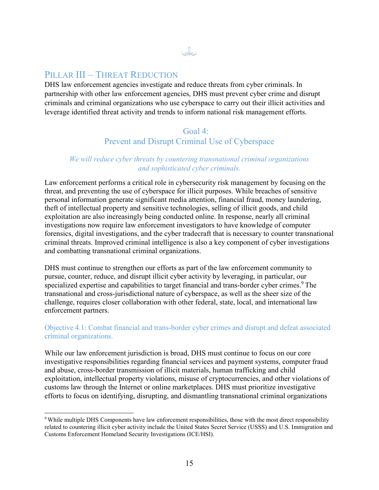### PILLAR III – THREAT REDUCTION

DHS law enforcement agencies investigate and reduce threats from cyber criminals. In partnership with other law enforcement agencies, DHS must prevent cyber crime and disrupt criminals and criminal organizations who use cyberspace to carry out their illicit activities and leverage identified threat activity and trends to inform national risk management efforts.

Jo

#### Goal 4: Prevent and Disrupt Criminal Use of Cyberspace

#### *We will reduce cyber threats by countering transnational criminal organizations and sophisticated cyber criminals.*

Law enforcement performs a critical role in cybersecurity risk management by focusing on the threat, and preventing the use of cyberspace for illicit purposes. While breaches of sensitive personal information generate significant media attention, financial fraud, money laundering, theft of intellectual property and sensitive technologies, selling of illicit goods, and child exploitation are also increasingly being conducted online. In response, nearly all criminal investigations now require law enforcement investigators to have knowledge of computer forensics, digital investigations, and the cyber tradecraft that is necessary to counter transnational criminal threats. Improved criminal intelligence is also a key component of cyber investigations and combatting transnational criminal organizations.

DHS must continue to strengthen our efforts as part of the law enforcement community to pursue, counter, reduce, and disrupt illicit cyber activity by leveraging, in particular, our specialized expertise and capabilities to target financial and trans-border cyber crimes.<sup>9</sup> The transnational and cross-jurisdictional nature of cyberspace, as well as the sheer size of the challenge, requires closer collaboration with other federal, state, local, and international law enforcement partners.

#### Objective 4.1: Combat financial and trans-border cyber crimes and disrupt and defeat associated criminal organizations.

While our law enforcement jurisdiction is broad, DHS must continue to focus on our core investigative responsibilities regarding financial services and payment systems, computer fraud and abuse, cross-border transmission of illicit materials, human trafficking and child exploitation, intellectual property violations, misuse of cryptocurrencies, and other violations of customs law through the Internet or online marketplaces. DHS must prioritize investigative efforts to focus on identifying, disrupting, and dismantling transnational criminal organizations

<sup>9</sup> While multiple DHS Components have law enforcement responsibilities, those with the most direct responsibility related to countering illicit cyber activity include the United States Secret Service (USSS) and U.S. Immigration and Customs Enforcement Homeland Security Investigations (ICE/HSI).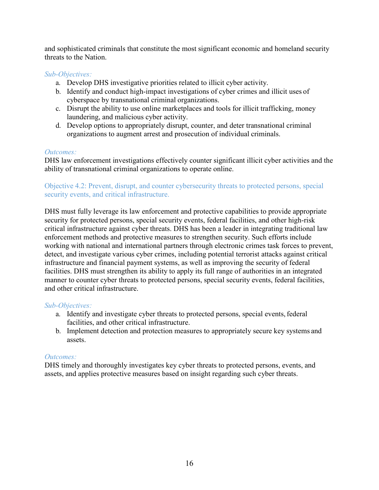and sophisticated criminals that constitute the most significant economic and homeland security threats to the Nation.

#### *Sub-Objectives:*

- a. Develop DHS investigative priorities related to illicit cyber activity.
- b. Identify and conduct high-impact investigations of cyber crimes and illicit uses of cyberspace by transnational criminal organizations.
- c. Disrupt the ability to use online marketplaces and tools for illicit trafficking, money laundering, and malicious cyber activity.
- d. Develop options to appropriately disrupt, counter, and deter transnational criminal organizations to augment arrest and prosecution of individual criminals.

#### *Outcomes:*

DHS law enforcement investigations effectively counter significant illicit cyber activities and the ability of transnational criminal organizations to operate online.

#### Objective 4.2: Prevent, disrupt, and counter cybersecurity threats to protected persons, special security events, and critical infrastructure.

DHS must fully leverage its law enforcement and protective capabilities to provide appropriate security for protected persons, special security events, federal facilities, and other high-risk critical infrastructure against cyber threats. DHS has been a leader in integrating traditional law enforcement methods and protective measures to strengthen security. Such efforts include working with national and international partners through electronic crimes task forces to prevent, detect, and investigate various cyber crimes, including potential terrorist attacks against critical infrastructure and financial payment systems, as well as improving the security of federal facilities. DHS must strengthen its ability to apply its full range of authorities in an integrated manner to counter cyber threats to protected persons, special security events, federal facilities, and other critical infrastructure.

#### *Sub-Objectives:*

- a. Identify and investigate cyber threats to protected persons, special events, federal facilities, and other critical infrastructure.
- b. Implement detection and protection measures to appropriately secure key systems and assets.

#### *Outcomes:*

DHS timely and thoroughly investigates key cyber threats to protected persons, events, and assets, and applies protective measures based on insight regarding such cyber threats.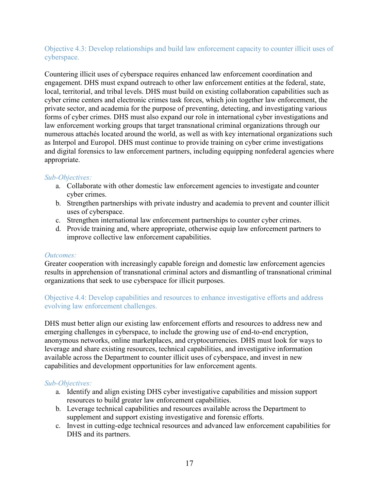#### Objective 4.3: Develop relationships and build law enforcement capacity to counter illicit uses of cyberspace.

Countering illicit uses of cyberspace requires enhanced law enforcement coordination and engagement. DHS must expand outreach to other law enforcement entities at the federal, state, local, territorial, and tribal levels. DHS must build on existing collaboration capabilities such as cyber crime centers and electronic crimes task forces, which join together law enforcement, the private sector, and academia for the purpose of preventing, detecting, and investigating various forms of cyber crimes. DHS must also expand our role in international cyber investigations and law enforcement working groups that target transnational criminal organizations through our numerous attachés located around the world, as well as with key international organizations such as Interpol and Europol. DHS must continue to provide training on cyber crime investigations and digital forensics to law enforcement partners, including equipping nonfederal agencies where appropriate.

#### *Sub-Objectives:*

- a. Collaborate with other domestic law enforcement agencies to investigate and counter cyber crimes.
- b. Strengthen partnerships with private industry and academia to prevent and counter illicit uses of cyberspace.
- c. Strengthen international law enforcement partnerships to counter cyber crimes.
- d. Provide training and, where appropriate, otherwise equip law enforcement partners to improve collective law enforcement capabilities.

#### *Outcomes:*

Greater cooperation with increasingly capable foreign and domestic law enforcement agencies results in apprehension of transnational criminal actors and dismantling of transnational criminal organizations that seek to use cyberspace for illicit purposes.

#### Objective 4.4: Develop capabilities and resources to enhance investigative efforts and address evolving law enforcement challenges.

DHS must better align our existing law enforcement efforts and resources to address new and emerging challenges in cyberspace, to include the growing use of end-to-end encryption, anonymous networks, online marketplaces, and cryptocurrencies. DHS must look for ways to leverage and share existing resources, technical capabilities, and investigative information available across the Department to counter illicit uses of cyberspace, and invest in new capabilities and development opportunities for law enforcement agents.

#### *Sub-Objectives:*

- a. Identify and align existing DHS cyber investigative capabilities and mission support resources to build greater law enforcement capabilities.
- b. Leverage technical capabilities and resources available across the Department to supplement and support existing investigative and forensic efforts.
- c. Invest in cutting-edge technical resources and advanced law enforcement capabilities for DHS and its partners.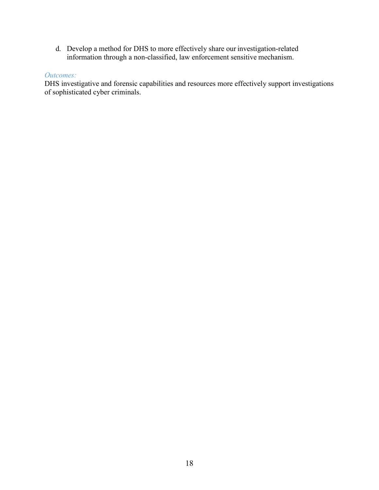d. Develop a method for DHS to more effectively share our investigation-related information through a non-classified, law enforcement sensitive mechanism.

#### *Outcomes:*

DHS investigative and forensic capabilities and resources more effectively support investigations of sophisticated cyber criminals.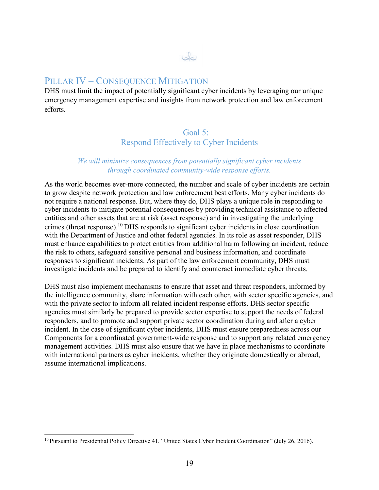#### PILLAR **IV** – CONSEQUENCE MITIGATION

DHS must limit the impact of potentially significant cyber incidents by leveraging our unique emergency management expertise and insights from network protection and law enforcement efforts.

 $\omega$ 

#### Goal 5: Respond Effectively to Cyber Incidents

#### *We will minimize consequences from potentially significant cyber incidents through coordinated community-wide response efforts.*

As the world becomes ever-more connected, the number and scale of cyber incidents are certain to grow despite network protection and law enforcement best efforts. Many cyber incidents do not require a national response. But, where they do, DHS plays a unique role in responding to cyber incidents to mitigate potential consequences by providing technical assistance to affected entities and other assets that are at risk (asset response) and in investigating the underlying crimes (threat response).10 DHS responds to significant cyber incidents in close coordination with the Department of Justice and other federal agencies. In its role as asset responder, DHS must enhance capabilities to protect entities from additional harm following an incident, reduce the risk to others, safeguard sensitive personal and business information, and coordinate responses to significant incidents. As part of the law enforcement community, DHS must investigate incidents and be prepared to identify and counteract immediate cyber threats.

DHS must also implement mechanisms to ensure that asset and threat responders, informed by the intelligence community, share information with each other, with sector specific agencies, and with the private sector to inform all related incident response efforts. DHS sector specific agencies must similarly be prepared to provide sector expertise to support the needs of federal responders, and to promote and support private sector coordination during and after a cyber incident. In the case of significant cyber incidents, DHS must ensure preparedness across our Components for a coordinated government-wide response and to support any related emergency management activities. DHS must also ensure that we have in place mechanisms to coordinate with international partners as cyber incidents, whether they originate domestically or abroad, assume international implications.

<sup>&</sup>lt;sup>10</sup> Pursuant to Presidential Policy Directive 41, "United States Cyber Incident Coordination" (July 26, 2016).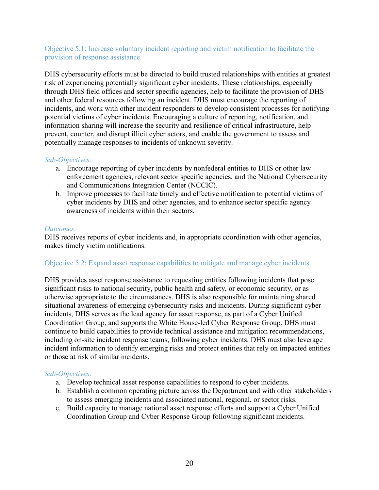Objective 5.1: Increase voluntary incident reporting and victim notification to facilitate the provision of response assistance.

DHS cybersecurity efforts must be directed to build trusted relationships with entities at greatest risk of experiencing potentially significant cyber incidents. These relationships, especially through DHS field offices and sector specific agencies, help to facilitate the provision of DHS and other federal resources following an incident. DHS must encourage the reporting of incidents, and work with other incident responders to develop consistent processes for notifying potential victims of cyber incidents. Encouraging a culture of reporting, notification, and information sharing will increase the security and resilience of critical infrastructure, help prevent, counter, and disrupt illicit cyber actors, and enable the government to assess and potentially manage responses to incidents of unknown severity.

#### *Sub-Objectives:*

- a. Encourage reporting of cyber incidents by nonfederal entities to DHS or other law enforcement agencies, relevant sector specific agencies, and the National Cybersecurity and Communications Integration Center (NCCIC).
- b. Improve processes to facilitate timely and effective notification to potential victims of cyber incidents by DHS and other agencies, and to enhance sector specific agency awareness of incidents within their sectors.

#### *Outcomes:*

DHS receives reports of cyber incidents and, in appropriate coordination with other agencies, makes timely victim notifications.

#### Objective 5.2: Expand asset response capabilities to mitigate and manage cyber incidents.

DHS provides asset response assistance to requesting entities following incidents that pose significant risks to national security, public health and safety, or economic security, or as otherwise appropriate to the circumstances. DHS is also responsible for maintaining shared situational awareness of emerging cybersecurity risks and incidents. During significant cyber incidents, DHS serves as the lead agency for asset response, as part of a Cyber Unified Coordination Group, and supports the White House-led Cyber Response Group. DHS must continue to build capabilities to provide technical assistance and mitigation recommendations, including on-site incident response teams, following cyber incidents. DHS must also leverage incident information to identify emerging risks and protect entities that rely on impacted entities or those at risk of similar incidents.

#### *Sub-Objectives:*

- a. Develop technical asset response capabilities to respond to cyber incidents.
- b. Establish a common operating picture across the Department and with other stakeholders to assess emerging incidents and associated national, regional, or sector risks.
- c. Build capacity to manage national asset response efforts and support a Cyber Unified Coordination Group and Cyber Response Group following significant incidents.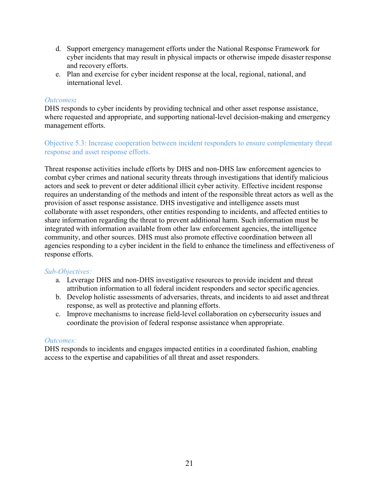- d. Support emergency management efforts under the National Response Framework for cyber incidents that may result in physical impacts or otherwise impede disaster response and recovery efforts.
- e. Plan and exercise for cyber incident response at the local, regional, national, and international level.

#### *Outcomes:*

DHS responds to cyber incidents by providing technical and other asset response assistance, where requested and appropriate, and supporting national-level decision-making and emergency management efforts.

#### Objective 5.3: Increase cooperation between incident responders to ensure complementary threat response and asset response efforts.

Threat response activities include efforts by DHS and non-DHS law enforcement agencies to combat cyber crimes and national security threats through investigations that identify malicious actors and seek to prevent or deter additional illicit cyber activity. Effective incident response requires an understanding of the methods and intent of the responsible threat actors as well as the provision of asset response assistance. DHS investigative and intelligence assets must collaborate with asset responders, other entities responding to incidents, and affected entities to share information regarding the threat to prevent additional harm. Such information must be integrated with information available from other law enforcement agencies, the intelligence community, and other sources. DHS must also promote effective coordination between all agencies responding to a cyber incident in the field to enhance the timeliness and effectiveness of response efforts.

#### *Sub-Objectives:*

- a. Leverage DHS and non-DHS investigative resources to provide incident and threat attribution information to all federal incident responders and sector specific agencies.
- b. Develop holistic assessments of adversaries, threats, and incidents to aid asset and threat response, as well as protective and planning efforts.
- c. Improve mechanisms to increase field-level collaboration on cybersecurity issues and coordinate the provision of federal response assistance when appropriate.

#### *Outcomes:*

DHS responds to incidents and engages impacted entities in a coordinated fashion, enabling access to the expertise and capabilities of all threat and asset responders.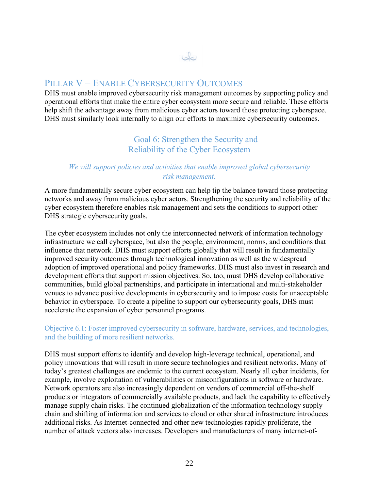#### PILLAR V – ENABLE CYBERSECURITY OUTCOMES

DHS must enable improved cybersecurity risk management outcomes by supporting policy and operational efforts that make the entire cyber ecosystem more secure and reliable. These efforts help shift the advantage away from malicious cyber actors toward those protecting cyberspace. DHS must similarly look internally to align our efforts to maximize cybersecurity outcomes.

 $\omega$ 

#### Goal 6: Strengthen the Security and Reliability of the Cyber Ecosystem

#### *We will support policies and activities that enable improved global cybersecurity risk management.*

A more fundamentally secure cyber ecosystem can help tip the balance toward those protecting networks and away from malicious cyber actors. Strengthening the security and reliability of the cyber ecosystem therefore enables risk management and sets the conditions to support other DHS strategic cybersecurity goals.

The cyber ecosystem includes not only the interconnected network of information technology infrastructure we call cyberspace, but also the people, environment, norms, and conditions that influence that network. DHS must support efforts globally that will result in fundamentally improved security outcomes through technological innovation as well as the widespread adoption of improved operational and policy frameworks. DHS must also invest in research and development efforts that support mission objectives. So, too, must DHS develop collaborative communities, build global partnerships, and participate in international and multi-stakeholder venues to advance positive developments in cybersecurity and to impose costs for unacceptable behavior in cyberspace. To create a pipeline to support our cybersecurity goals, DHS must accelerate the expansion of cyber personnel programs.

#### Objective 6.1: Foster improved cybersecurity in software, hardware, services, and technologies, and the building of more resilient networks.

DHS must support efforts to identify and develop high-leverage technical, operational, and policy innovations that will result in more secure technologies and resilient networks. Many of today's greatest challenges are endemic to the current ecosystem. Nearly all cyber incidents, for example, involve exploitation of vulnerabilities or misconfigurations in software or hardware. Network operators are also increasingly dependent on vendors of commercial off-the-shelf products or integrators of commercially available products, and lack the capability to effectively manage supply chain risks. The continued globalization of the information technology supply chain and shifting of information and services to cloud or other shared infrastructure introduces additional risks. As Internet-connected and other new technologies rapidly proliferate, the number of attack vectors also increases. Developers and manufacturers of many internet-of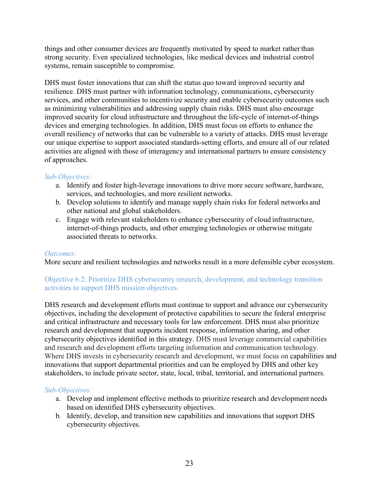things and other consumer devices are frequently motivated by speed to market rather than strong security. Even specialized technologies, like medical devices and industrial control systems, remain susceptible to compromise.

DHS must foster innovations that can shift the status quo toward improved security and resilience. DHS must partner with information technology, communications, cybersecurity services, and other communities to incentivize security and enable cybersecurity outcomes such as minimizing vulnerabilities and addressing supply chain risks. DHS must also encourage improved security for cloud infrastructure and throughout the life-cycle of internet-of-things devices and emerging technologies. In addition, DHS must focus on efforts to enhance the overall resiliency of networks that can be vulnerable to a variety of attacks. DHS must leverage our unique expertise to support associated standards-setting efforts, and ensure all of our related activities are aligned with those of interagency and international partners to ensure consistency of approaches.

#### *Sub-Objectives:*

- a. Identify and foster high-leverage innovations to drive more secure software, hardware, services, and technologies, and more resilient networks.
- b. Develop solutions to identify and manage supply chain risks for federal networks and other national and global stakeholders.
- c. Engage with relevant stakeholders to enhance cybersecurity of cloud infrastructure, internet-of-things products, and other emerging technologies or otherwise mitigate associated threats to networks.

#### *Outcomes:*

More secure and resilient technologies and networks result in a more defensible cyber ecosystem.

#### Objective 6.2: Prioritize DHS cybersecurity research, development, and technology transition activities to support DHS mission objectives.

DHS research and development efforts must continue to support and advance our cybersecurity objectives, including the development of protective capabilities to secure the federal enterprise and critical infrastructure and necessary tools for law enforcement. DHS must also prioritize research and development that supports incident response, information sharing, and other cybersecurity objectives identified in this strategy. DHS must leverage commercial capabilities and research and development efforts targeting information and communication technology. Where DHS invests in cybersecurity research and development, we must focus on capabilities and innovations that support departmental priorities and can be employed by DHS and other key stakeholders, to include private sector, state, local, tribal, territorial, and international partners.

#### *Sub-Objectives:*

- a. Develop and implement effective methods to prioritize research and development needs based on identified DHS cybersecurity objectives.
- b. Identify, develop, and transition new capabilities and innovations that support DHS cybersecurity objectives.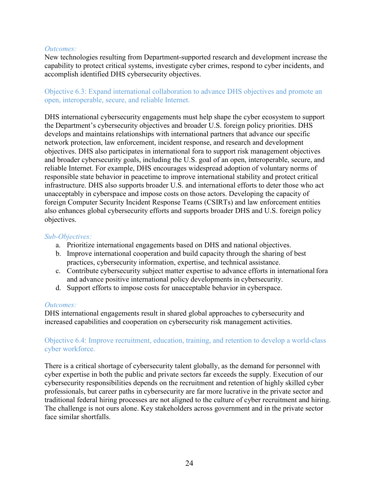#### *Outcomes:*

New technologies resulting from Department-supported research and development increase the capability to protect critical systems, investigate cyber crimes, respond to cyber incidents, and accomplish identified DHS cybersecurity objectives.

#### Objective 6.3: Expand international collaboration to advance DHS objectives and promote an open, interoperable, secure, and reliable Internet.

DHS international cybersecurity engagements must help shape the cyber ecosystem to support the Department's cybersecurity objectives and broader U.S. foreign policy priorities. DHS develops and maintains relationships with international partners that advance our specific network protection, law enforcement, incident response, and research and development objectives. DHS also participates in international fora to support risk management objectives and broader cybersecurity goals, including the U.S. goal of an open, interoperable, secure, and reliable Internet. For example, DHS encourages widespread adoption of voluntary norms of responsible state behavior in peacetime to improve international stability and protect critical infrastructure. DHS also supports broader U.S. and international efforts to deter those who act unacceptably in cyberspace and impose costs on those actors. Developing the capacity of foreign Computer Security Incident Response Teams (CSIRTs) and law enforcement entities also enhances global cybersecurity efforts and supports broader DHS and U.S. foreign policy objectives.

#### *Sub-Objectives:*

- a. Prioritize international engagements based on DHS and national objectives.
- b. Improve international cooperation and build capacity through the sharing of best practices, cybersecurity information, expertise, and technical assistance.
- c. Contribute cybersecurity subject matter expertise to advance efforts in international fora and advance positive international policy developments in cybersecurity.
- d. Support efforts to impose costs for unacceptable behavior in cyberspace.

#### *Outcomes:*

DHS international engagements result in shared global approaches to cybersecurity and increased capabilities and cooperation on cybersecurity risk management activities.

#### Objective 6.4: Improve recruitment, education, training, and retention to develop a world-class cyber workforce.

There is a critical shortage of cybersecurity talent globally, as the demand for personnel with cyber expertise in both the public and private sectors far exceeds the supply. Execution of our cybersecurity responsibilities depends on the recruitment and retention of highly skilled cyber professionals, but career paths in cybersecurity are far more lucrative in the private sector and traditional federal hiring processes are not aligned to the culture of cyber recruitment and hiring. The challenge is not ours alone. Key stakeholders across government and in the private sector face similar shortfalls.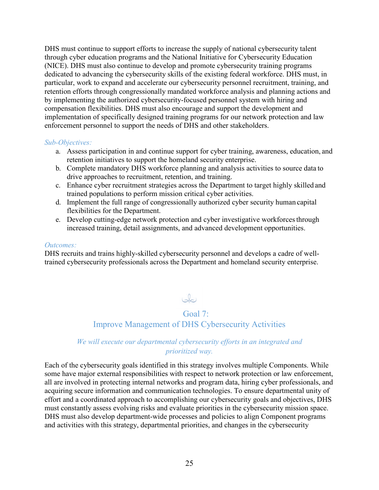DHS must continue to support efforts to increase the supply of national cybersecurity talent through cyber education programs and the National Initiative for Cybersecurity Education (NICE). DHS must also continue to develop and promote cybersecurity training programs dedicated to advancing the cybersecurity skills of the existing federal workforce. DHS must, in particular, work to expand and accelerate our cybersecurity personnel recruitment, training, and retention efforts through congressionally mandated workforce analysis and planning actions and by implementing the authorized cybersecurity-focused personnel system with hiring and compensation flexibilities. DHS must also encourage and support the development and implementation of specifically designed training programs for our network protection and law enforcement personnel to support the needs of DHS and other stakeholders.

#### *Sub-Objectives:*

- a. Assess participation in and continue support for cyber training, awareness, education, and retention initiatives to support the homeland security enterprise.
- b. Complete mandatory DHS workforce planning and analysis activities to source data to drive approaches to recruitment, retention, and training.
- c. Enhance cyber recruitment strategies across the Department to target highly skilled and trained populations to perform mission critical cyber activities.
- d. Implement the full range of congressionally authorized cyber security human capital flexibilities for the Department.
- e. Develop cutting-edge network protection and cyber investigative workforces through increased training, detail assignments, and advanced development opportunities.

#### *Outcomes:*

DHS recruits and trains highly-skilled cybersecurity personnel and develops a cadre of welltrained cybersecurity professionals across the Department and homeland security enterprise.

# $Q$

### Goal 7: Improve Management of DHS Cybersecurity Activities

#### *We will execute our departmental cybersecurity efforts in an integrated and prioritized way.*

Each of the cybersecurity goals identified in this strategy involves multiple Components. While some have major external responsibilities with respect to network protection or law enforcement, all are involved in protecting internal networks and program data, hiring cyber professionals, and acquiring secure information and communication technologies. To ensure departmental unity of effort and a coordinated approach to accomplishing our cybersecurity goals and objectives, DHS must constantly assess evolving risks and evaluate priorities in the cybersecurity mission space. DHS must also develop department-wide processes and policies to align Component programs and activities with this strategy, departmental priorities, and changes in the cybersecurity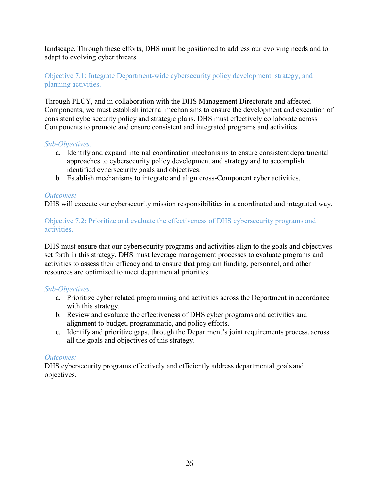landscape. Through these efforts, DHS must be positioned to address our evolving needs and to adapt to evolving cyber threats.

#### Objective 7.1: Integrate Department-wide cybersecurity policy development, strategy, and planning activities.

Through PLCY, and in collaboration with the DHS Management Directorate and affected Components, we must establish internal mechanisms to ensure the development and execution of consistent cybersecurity policy and strategic plans. DHS must effectively collaborate across Components to promote and ensure consistent and integrated programs and activities.

#### *Sub-Objectives:*

- a. Identify and expand internal coordination mechanisms to ensure consistent departmental approaches to cybersecurity policy development and strategy and to accomplish identified cybersecurity goals and objectives.
- b. Establish mechanisms to integrate and align cross-Component cyber activities.

#### *Outcomes:*

DHS will execute our cybersecurity mission responsibilities in a coordinated and integrated way.

#### Objective 7.2: Prioritize and evaluate the effectiveness of DHS cybersecurity programs and activities.

DHS must ensure that our cybersecurity programs and activities align to the goals and objectives set forth in this strategy. DHS must leverage management processes to evaluate programs and activities to assess their efficacy and to ensure that program funding, personnel, and other resources are optimized to meet departmental priorities.

#### *Sub-Objectives:*

- a. Prioritize cyber related programming and activities across the Department in accordance with this strategy.
- b. Review and evaluate the effectiveness of DHS cyber programs and activities and alignment to budget, programmatic, and policy efforts.
- c. Identify and prioritize gaps, through the Department's joint requirements process, across all the goals and objectives of this strategy.

#### *Outcomes:*

DHS cybersecurity programs effectively and efficiently address departmental goals and objectives.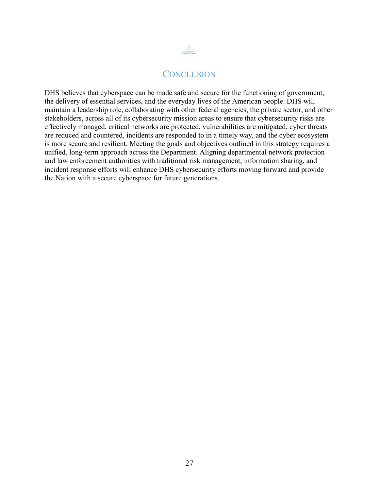

#### **CONCLUSION**

DHS believes that cyberspace can be made safe and secure for the functioning of government, the delivery of essential services, and the everyday lives of the American people. DHS will maintain a leadership role, collaborating with other federal agencies, the private sector, and other stakeholders, across all of its cybersecurity mission areas to ensure that cybersecurity risks are effectively managed, critical networks are protected, vulnerabilities are mitigated, cyber threats are reduced and countered, incidents are responded to in a timely way, and the cyber ecosystem is more secure and resilient. Meeting the goals and objectives outlined in this strategy requires a unified, long-term approach across the Department. Aligning departmental network protection and law enforcement authorities with traditional risk management, information sharing, and incident response efforts will enhance DHS cybersecurity efforts moving forward and provide the Nation with a secure cyberspace for future generations.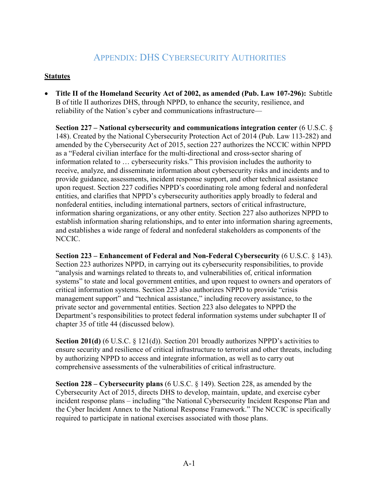### APPENDIX: DHS CYBERSECURITY AUTHORITIES

#### **Statutes**

• **Title II of the Homeland Security Act of 2002, as amended (Pub. Law 107-296):** Subtitle B of title II authorizes DHS, through NPPD, to enhance the security, resilience, and reliability of the Nation's cyber and communications infrastructure—

**Section 227 – National cybersecurity and communications integration center** (6 U.S.C. § 148). Created by the National Cybersecurity Protection Act of 2014 (Pub. Law 113-282) and amended by the Cybersecurity Act of 2015, section 227 authorizes the NCCIC within NPPD as a "Federal civilian interface for the multi-directional and cross-sector sharing of information related to … cybersecurity risks." This provision includes the authority to receive, analyze, and disseminate information about cybersecurity risks and incidents and to provide guidance, assessments, incident response support, and other technical assistance upon request. Section 227 codifies NPPD's coordinating role among federal and nonfederal entities, and clarifies that NPPD's cybersecurity authorities apply broadly to federal and nonfederal entities, including international partners, sectors of critical infrastructure, information sharing organizations, or any other entity. Section 227 also authorizes NPPD to establish information sharing relationships, and to enter into information sharing agreements, and establishes a wide range of federal and nonfederal stakeholders as components of the NCCIC.

**Section 223 – Enhancement of Federal and Non-Federal Cybersecurity** (6 U.S.C. § 143). Section 223 authorizes NPPD, in carrying out its cybersecurity responsibilities, to provide "analysis and warnings related to threats to, and vulnerabilities of, critical information systems" to state and local government entities, and upon request to owners and operators of critical information systems. Section 223 also authorizes NPPD to provide "crisis management support" and "technical assistance," including recovery assistance, to the private sector and governmental entities. Section 223 also delegates to NPPD the Department's responsibilities to protect federal information systems under subchapter II of chapter 35 of title 44 (discussed below).

**Section 201(d)** (6 U.S.C. § 121(d)). Section 201 broadly authorizes NPPD's activities to ensure security and resilience of critical infrastructure to terrorist and other threats, including by authorizing NPPD to access and integrate information, as well as to carry out comprehensive assessments of the vulnerabilities of critical infrastructure.

**Section 228 – Cybersecurity plans** (6 U.S.C. § 149). Section 228, as amended by the Cybersecurity Act of 2015, directs DHS to develop, maintain, update, and exercise cyber incident response plans – including "the National Cybersecurity Incident Response Plan and the Cyber Incident Annex to the National Response Framework." The NCCIC is specifically required to participate in national exercises associated with those plans.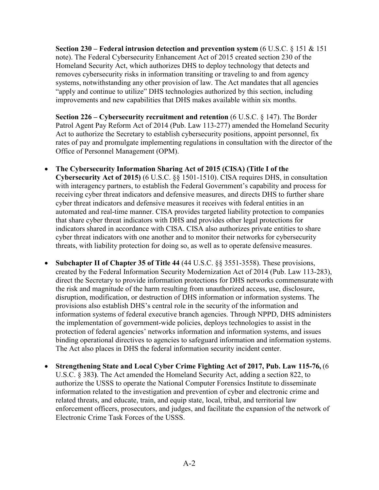**Section 230 – Federal intrusion detection and prevention system** (6 U.S.C. § 151 & 151 note). The Federal Cybersecurity Enhancement Act of 2015 created section 230 of the Homeland Security Act, which authorizes DHS to deploy technology that detects and removes cybersecurity risks in information transiting or traveling to and from agency systems, notwithstanding any other provision of law. The Act mandates that all agencies "apply and continue to utilize" DHS technologies authorized by this section, including improvements and new capabilities that DHS makes available within six months.

**Section 226 – Cybersecurity recruitment and retention** (6 U.S.C. § 147). The Border Patrol Agent Pay Reform Act of 2014 (Pub. Law 113-277) amended the Homeland Security Act to authorize the Secretary to establish cybersecurity positions, appoint personnel, fix rates of pay and promulgate implementing regulations in consultation with the director of the Office of Personnel Management (OPM).

- **The Cybersecurity Information Sharing Act of 2015 (CISA) (Title I of the Cybersecurity Act of 2015)** (6 U.S.C. §§ 1501-1510). CISA requires DHS, in consultation with interagency partners, to establish the Federal Government's capability and process for receiving cyber threat indicators and defensive measures, and directs DHS to further share cyber threat indicators and defensive measures it receives with federal entities in an automated and real-time manner. CISA provides targeted liability protection to companies that share cyber threat indicators with DHS and provides other legal protections for indicators shared in accordance with CISA. CISA also authorizes private entities to share cyber threat indicators with one another and to monitor their networks for cybersecurity threats, with liability protection for doing so, as well as to operate defensive measures.
- **Subchapter II of Chapter 35 of Title 44** (44 U.S.C. §§ 3551-3558). These provisions, created by the Federal Information Security Modernization Act of 2014 (Pub. Law 113-283), direct the Secretary to provide information protections for DHS networks commensurate with the risk and magnitude of the harm resulting from unauthorized access, use, disclosure, disruption, modification, or destruction of DHS information or information systems. The provisions also establish DHS's central role in the security of the information and information systems of federal executive branch agencies. Through NPPD, DHS administers the implementation of government-wide policies, deploys technologies to assist in the protection of federal agencies' networks information and information systems, and issues binding operational directives to agencies to safeguard information and information systems. The Act also places in DHS the federal information security incident center.
- **Strengthening State and Local Cyber Crime Fighting Act of 2017, Pub. Law 115-76,** (6 U.S.C. § 383**)**. The Act amended the Homeland Security Act, adding a section 822, to authorize the USSS to operate the National Computer Forensics Institute to disseminate information related to the investigation and prevention of cyber and electronic crime and related threats, and educate, train, and equip state, local, tribal, and territorial law enforcement officers, prosecutors, and judges, and facilitate the expansion of the network of Electronic Crime Task Forces of the USSS.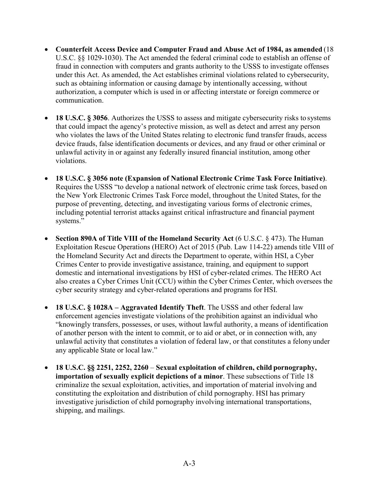- **Counterfeit Access Device and Computer Fraud and Abuse Act of 1984, as amended** (18 U.S.C. §§ 1029-1030). The Act amended the federal criminal code to establish an offense of fraud in connection with computers and grants authority to the USSS to investigate offenses under this Act. As amended, the Act establishes criminal violations related to cybersecurity, such as obtaining information or causing damage by intentionally accessing, without authorization, a computer which is used in or affecting interstate or foreign commerce or communication.
- **18 U.S.C. § 3056**. Authorizes the USSS to assess and mitigate cybersecurity risks to systems that could impact the agency's protective mission, as well as detect and arrest any person who violates the laws of the United States relating to electronic fund transfer frauds, access device frauds, false identification documents or devices, and any fraud or other criminal or unlawful activity in or against any federally insured financial institution, among other violations.
- **18 U.S.C. § 3056 note (Expansion of National Electronic Crime Task Force Initiative)**. Requires the USSS "to develop a national network of electronic crime task forces, based on the New York Electronic Crimes Task Force model, throughout the United States, for the purpose of preventing, detecting, and investigating various forms of electronic crimes, including potential terrorist attacks against critical infrastructure and financial payment systems."
- **Section 890A of Title VIII of the Homeland Security Act** (6 U.S.C. § 473). The Human Exploitation Rescue Operations (HERO) Act of 2015 (Pub. Law 114-22) amends title VIII of the Homeland Security Act and directs the Department to operate, within HSI, a Cyber Crimes Center to provide investigative assistance, training, and equipment to support domestic and international investigations by HSI of cyber-related crimes. The HERO Act also creates a Cyber Crimes Unit (CCU) within the Cyber Crimes Center, which oversees the cyber security strategy and cyber-related operations and programs for HSI.
- **18 U.S.C. § 1028A Aggravated Identify Theft**. The USSS and other federal law enforcement agencies investigate violations of the prohibition against an individual who "knowingly transfers, possesses, or uses, without lawful authority, a means of identification of another person with the intent to commit, or to aid or abet, or in connection with, any unlawful activity that constitutes a violation of federal law, or that constitutes a felony under any applicable State or local law."
- **18 U.S.C. §§ 2251, 2252, 2260 Sexual exploitation of children, child pornography, importation of sexually explicit depictions of a minor**. These subsections of Title 18 criminalize the sexual exploitation, activities, and importation of material involving and constituting the exploitation and distribution of child pornography. HSI has primary investigative jurisdiction of child pornography involving international transportations, shipping, and mailings.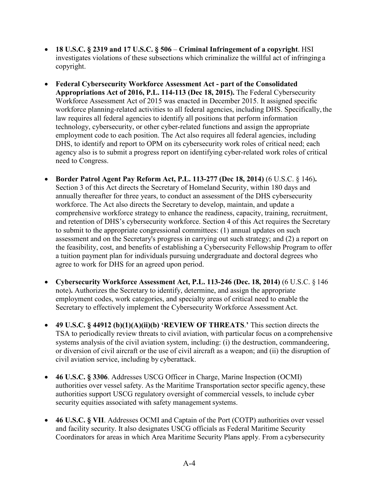- **18 U.S.C. § 2319 and 17 U.S.C. § 506 Criminal Infringement of a copyright**. HSI investigates violations of these subsections which criminalize the willful act of infringing a copyright.
- **Federal Cybersecurity Workforce Assessment Act part of the Consolidated Appropriations Act of 2016, P.L. 114-113 (Dec 18, 2015).** The Federal Cybersecurity Workforce Assessment Act of 2015 was enacted in December 2015. It assigned specific workforce planning-related activities to all federal agencies, including DHS. Specifically, the law requires all federal agencies to identify all positions that perform information technology, cybersecurity, or other cyber-related functions and assign the appropriate employment code to each position. The Act also requires all federal agencies, including DHS, to identify and report to OPM on its cybersecurity work roles of critical need; each agency also is to submit a progress report on identifying cyber-related work roles of critical need to Congress.
- **Border Patrol Agent Pay Reform Act, P.L. 113-277 (Dec 18, 2014)** (6 U.S.C. § 146)**.**  Section 3 of this Act directs the Secretary of Homeland Security, within 180 days and annually thereafter for three years, to conduct an assessment of the DHS cybersecurity workforce. The Act also directs the Secretary to develop, maintain, and update a comprehensive workforce strategy to enhance the readiness, capacity, training, recruitment, and retention of DHS's cybersecurity workforce. Section 4 of this Act requires the Secretary to submit to the appropriate congressional committees: (1) annual updates on such assessment and on the Secretary's progress in carrying out such strategy; and (2) a report on the feasibility, cost, and benefits of establishing a Cybersecurity Fellowship Program to offer a tuition payment plan for individuals pursuing undergraduate and doctoral degrees who agree to work for DHS for an agreed upon period.
- **Cybersecurity Workforce Assessment Act, P.L. 113-246 (Dec. 18, 2014)** (6 U.S.C. § 146 note)**.** Authorizes the Secretary to identify, determine, and assign the appropriate employment codes, work categories, and specialty areas of critical need to enable the Secretary to effectively implement the Cybersecurity Workforce Assessment Act.
- **49 U.S.C. § 44912 (b)(1)(A)(ii)(b) 'REVIEW OF THREATS**.**'** This section directs the TSA to periodically review threats to civil aviation, with particular focus on a comprehensive systems analysis of the civil aviation system, including: (i) the destruction, commandeering, or diversion of civil aircraft or the use of civil aircraft as a weapon; and (ii) the disruption of civil aviation service, including by cyberattack.
- **46 U.S.C. § 3306**. Addresses USCG Officer in Charge, Marine Inspection (OCMI) authorities over vessel safety. As the Maritime Transportation sector specific agency, these authorities support USCG regulatory oversight of commercial vessels, to include cyber security equities associated with safety management systems.
- **46 U.S.C. § VII**. Addresses OCMI and Captain of the Port (COTP) authorities over vessel and facility security. It also designates USCG officials as Federal Maritime Security Coordinators for areas in which Area Maritime Security Plans apply. From a cybersecurity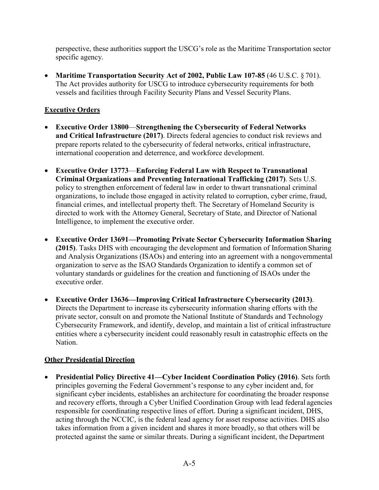perspective, these authorities support the USCG's role as the Maritime Transportation sector specific agency.

• Maritime Transportation Security Act of 2002, Public Law 107-85 (46 U.S.C. § 701). The Act provides authority for USCG to introduce cybersecurity requirements for both vessels and facilities through Facility Security Plans and Vessel Security Plans.

#### **Executive Orders**

- **Executive Order 13800**—**Strengthening the Cybersecurity of Federal Networks** and Critical Infrastructure (2017). Directs federal agencies to conduct risk reviews and prepare reports related to the cybersecurity of federal networks, critical infrastructure, international cooperation and deterrence, and workforce development.
- **Executive Order 13773**—**Enforcing Federal Law with Respect to Transnational Criminal Organizations and Preventing International Trafficking (2017)**. Sets U.S. policy to strengthen enforcement of federal law in order to thwart transnational criminal organizations, to include those engaged in activity related to corruption, cyber crime, fraud, financial crimes, and intellectual property theft. The Secretary of Homeland Security is directed to work with the Attorney General, Secretary of State, and Director of National Intelligence, to implement the executive order.
- **Executive Order 13691—Promoting Private Sector Cybersecurity Information Sharing (2015)**. Tasks DHS with encouraging the development and formation of Information Sharing and Analysis Organizations (ISAOs) and entering into an agreement with a nongovernmental organization to serve as the ISAO Standards Organization to identify a common set of voluntary standards or guidelines for the creation and functioning of ISAOs under the executive order.
- **Executive Order 13636—Improving Critical Infrastructure Cybersecurity (2013)**. Directs the Department to increase its cybersecurity information sharing efforts with the private sector, consult on and promote the National Institute of Standards and Technology Cybersecurity Framework, and identify, develop, and maintain a list of critical infrastructure entities where a cybersecurity incident could reasonably result in catastrophic effects on the Nation.

#### **Other Presidential Direction**

• **Presidential Policy Directive 41—Cyber Incident Coordination Policy (2016)**. Sets forth principles governing the Federal Government's response to any cyber incident and, for significant cyber incidents, establishes an architecture for coordinating the broader response and recovery efforts, through a Cyber Unified Coordination Group with lead federal agencies responsible for coordinating respective lines of effort. During a significant incident, DHS, acting through the NCCIC, is the federal lead agency for asset response activities. DHS also takes information from a given incident and shares it more broadly, so that others will be protected against the same or similar threats. During a significant incident, the Department